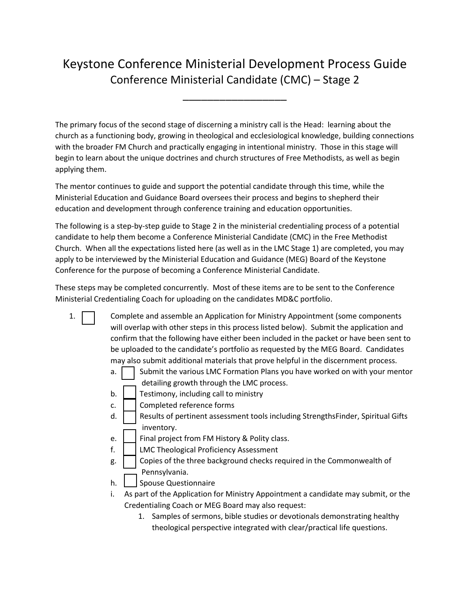## Keystone Conference Ministerial Development Process Guide Conference Ministerial Candidate (CMC) – Stage 2

\_\_\_\_\_\_\_\_\_\_\_\_\_\_\_\_\_

The primary focus of the second stage of discerning a ministry call is the Head: learning about the church as a functioning body, growing in theological and ecclesiological knowledge, building connections with the broader FM Church and practically engaging in intentional ministry. Those in this stage will begin to learn about the unique doctrines and church structures of Free Methodists, as well as begin applying them.

The mentor continues to guide and support the potential candidate through this time, while the Ministerial Education and Guidance Board oversees their process and begins to shepherd their education and development through conference training and education opportunities.

The following is a step-by-step guide to Stage 2 in the ministerial credentialing process of a potential candidate to help them become a Conference Ministerial Candidate (CMC) in the Free Methodist Church. When all the expectations listed here (as well as in the LMC Stage 1) are completed, you may apply to be interviewed by the Ministerial Education and Guidance (MEG) Board of the Keystone Conference for the purpose of becoming a Conference Ministerial Candidate.

These steps may be completed concurrently. Most of these items are to be sent to the Conference Ministerial Credentialing Coach for uploading on the candidates MD&C portfolio.

- 1. Complete and assemble an Application for Ministry Appointment (some components will overlap with other steps in this process listed below). Submit the application and confirm that the following have either been included in the packet or have been sent to be uploaded to the candidate's portfolio as requested by the MEG Board. Candidates may also submit additional materials that prove helpful in the discernment process.
	- a.  $\vert$  Submit the various LMC Formation Plans you have worked on with your mentor detailing growth through the LMC process.
	- b.  $\vert$  Testimony, including call to ministry
	- c.  $\vert$   $\vert$  Completed reference forms
	- d.  $\vert$  Results of pertinent assessment tools including StrengthsFinder, Spiritual Gifts inventory.
	- e.  $\Box$  Final project from FM History & Polity class.
	- f. | | LMC Theological Proficiency Assessment
	- $g.$   $\Box$  Copies of the three background checks required in the Commonwealth of Pennsylvania.
	- h. | Spouse Questionnaire
	- i. As part of the Application for Ministry Appointment a candidate may submit, or the Credentialing Coach or MEG Board may also request:
		- 1. Samples of sermons, bible studies or devotionals demonstrating healthy theological perspective integrated with clear/practical life questions.